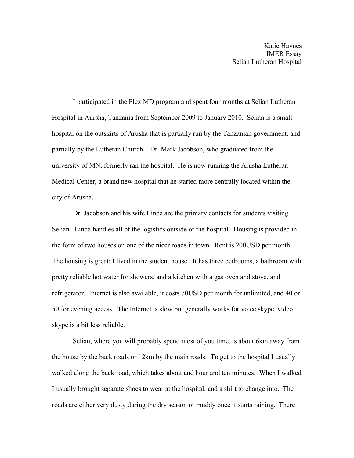Katie Haynes IMER Essay Selian Lutheran Hospital

I participated in the Flex MD program and spent four months at Selian Lutheran Hospital in Aursha, Tanzania from September 2009 to January 2010. Selian is a small hospital on the outskirts of Arusha that is partially run by the Tanzanian government, and partially by the Lutheran Church. Dr. Mark Jacobson, who graduated from the university of MN, formerly ran the hospital. He is now running the Arusha Lutheran Medical Center, a brand new hospital that he started more centrally located within the city of Arusha.

Dr. Jacobson and his wife Linda are the primary contacts for students visiting Selian. Linda handles all of the logistics outside of the hospital. Housing is provided in the form of two houses on one of the nicer roads in town. Rent is 200USD per month. The housing is great; I lived in the student house. It has three bedrooms, a bathroom with pretty reliable hot water for showers, and a kitchen with a gas oven and stove, and refrigerator. Internet is also available, it costs 70USD per month for unlimited, and 40 or 50 for evening access. The Internet is slow but generally works for voice skype, video skype is a bit less reliable.

Selian, where you will probably spend most of you time, is about 6km away from the house by the back roads or 12km by the main roads. To get to the hospital I usually walked along the back road, which takes about and hour and ten minutes. When I walked I usually brought separate shoes to wear at the hospital, and a shirt to change into. The roads are either very dusty during the dry season or muddy once it starts raining. There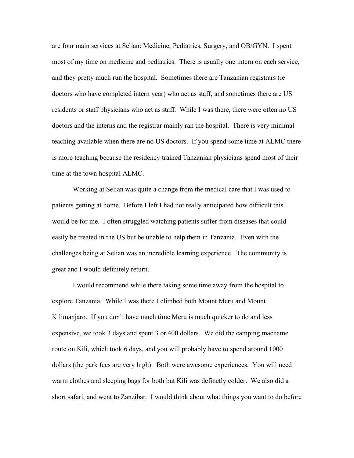are four main services at Selian: Medicine, Pediatrics, Surgery, and OB/GYN. I spent most of my time on medicine and pediatrics. There is usually one intern on each service, and they pretty much run the hospital. Sometimes there are Tanzanian registrars (ie doctors who have completed intern year) who act as staff, and sometimes there are US residents or staff physicians who act as staff. While I was there, there were often no US doctors and the interns and the registrar mainly ran the hospital. There is very minimal teaching available when there are no US doctors. If you spend some time at ALMC there is more teaching because the residency trained Tanzanian physicians spend most of their time at the town hospital ALMC.

Working at Selian was quite a change from the medical care that I was used to patients getting at home. Before I left I had not really anticipated how difficult this would be for me. I often struggled watching patients suffer from diseases that could easily be treated in the US but be unable to help them in Tanzania. Even with the challenges being at Selian was an incredible learning experience. The community is great and I would definitely return.

I would recommend while there taking some time away from the hospital to explore Tanzania. While I was there I climbed both Mount Meru and Mount Kilimanjaro. If you don't have much time Meru is much quicker to do and less expensive, we took 3 days and spent 3 or 400 dollars. We did the camping machame route on Kili, which took 6 days, and you will probably have to spend around 1000 dollars (the park fees are very high). Both were awesome experiences. You will need warm clothes and sleeping bags for both but Kili was definetly colder. We also did a short safari, and went to Zanzibar. I would think about what things you want to do before